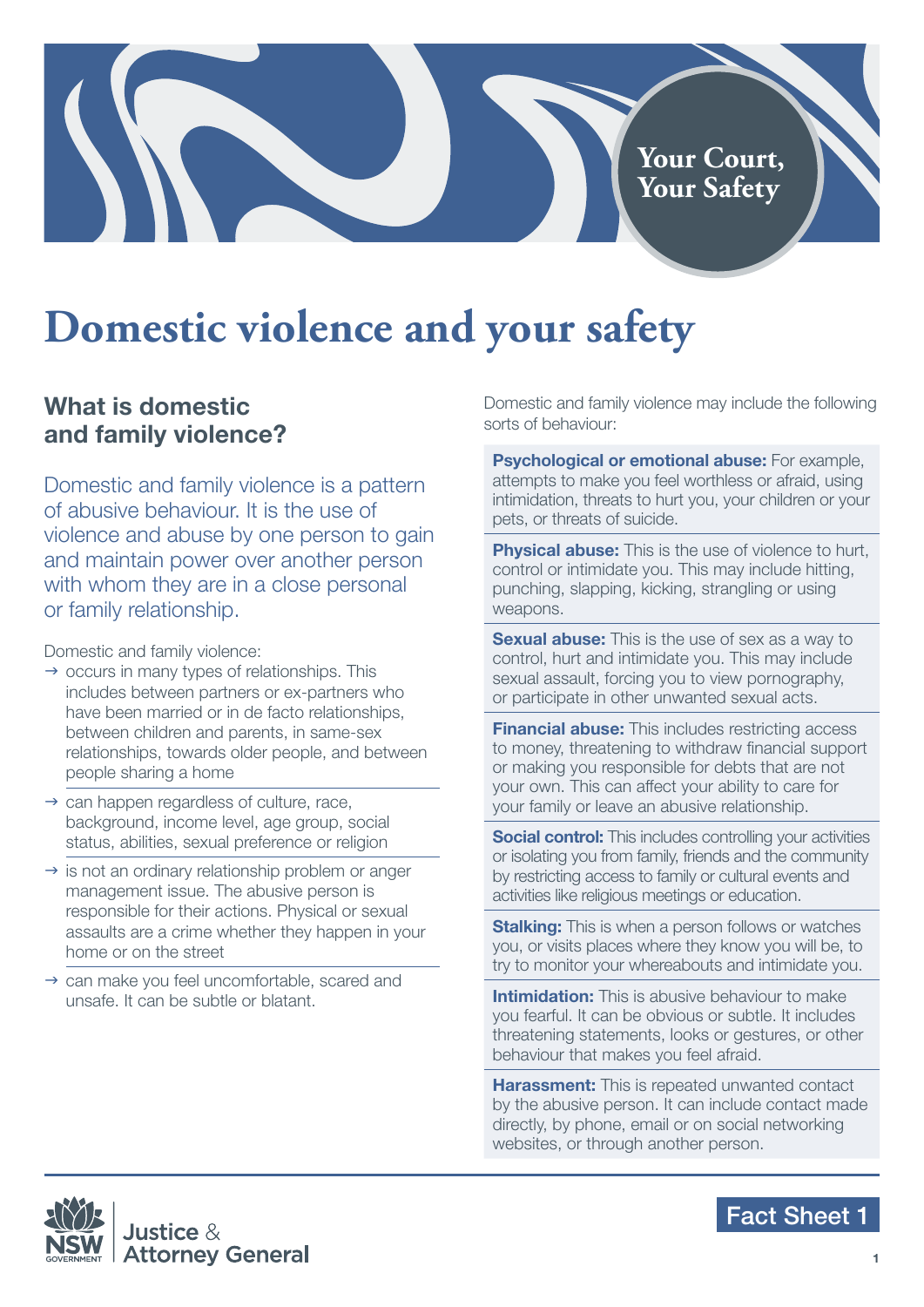# **Domestic violence and your safety**

#### **What is domestic and family violence?**

Domestic and family violence is a pattern of abusive behaviour. It is the use of violence and abuse by one person to gain and maintain power over another person with whom they are in a close personal or family relationship.

Domestic and family violence:

- $\rightarrow$  occurs in many types of relationships. This includes between partners or ex-partners who have been married or in de facto relationships, between children and parents, in same-sex relationships, towards older people, and between people sharing a home
- $\rightarrow$  can happen regardless of culture, race, background, income level, age group, social status, abilities, sexual preference or religion
- $\rightarrow$  is not an ordinary relationship problem or anger management issue. The abusive person is responsible for their actions. Physical or sexual assaults are a crime whether they happen in your home or on the street
- $\rightarrow$  can make you feel uncomfortable, scared and unsafe. It can be subtle or blatant.

Domestic and family violence may include the following sorts of behaviour:

**Your Court, Your Safety**

**Psychological or emotional abuse:** For example, attempts to make you feel worthless or afraid, using intimidation, threats to hurt you, your children or your pets, or threats of suicide.

**Physical abuse:** This is the use of violence to hurt, control or intimidate you. This may include hitting, punching, slapping, kicking, strangling or using weapons.

**Sexual abuse:** This is the use of sex as a way to control, hurt and intimidate you. This may include sexual assault, forcing you to view pornography, or participate in other unwanted sexual acts.

**Financial abuse:** This includes restricting access to money, threatening to withdraw financial support or making you responsible for debts that are not your own. This can affect your ability to care for your family or leave an abusive relationship.

**Social control:** This includes controlling your activities or isolating you from family, friends and the community by restricting access to family or cultural events and activities like religious meetings or education.

**Stalking:** This is when a person follows or watches you, or visits places where they know you will be, to try to monitor your whereabouts and intimidate you.

**Intimidation:** This is abusive behaviour to make you fearful. It can be obvious or subtle. It includes threatening statements, looks or gestures, or other behaviour that makes you feel afraid.

**Harassment:** This is repeated unwanted contact by the abusive person. It can include contact made directly, by phone, email or on social networking websites, or through another person.



#### Fact Sheet 1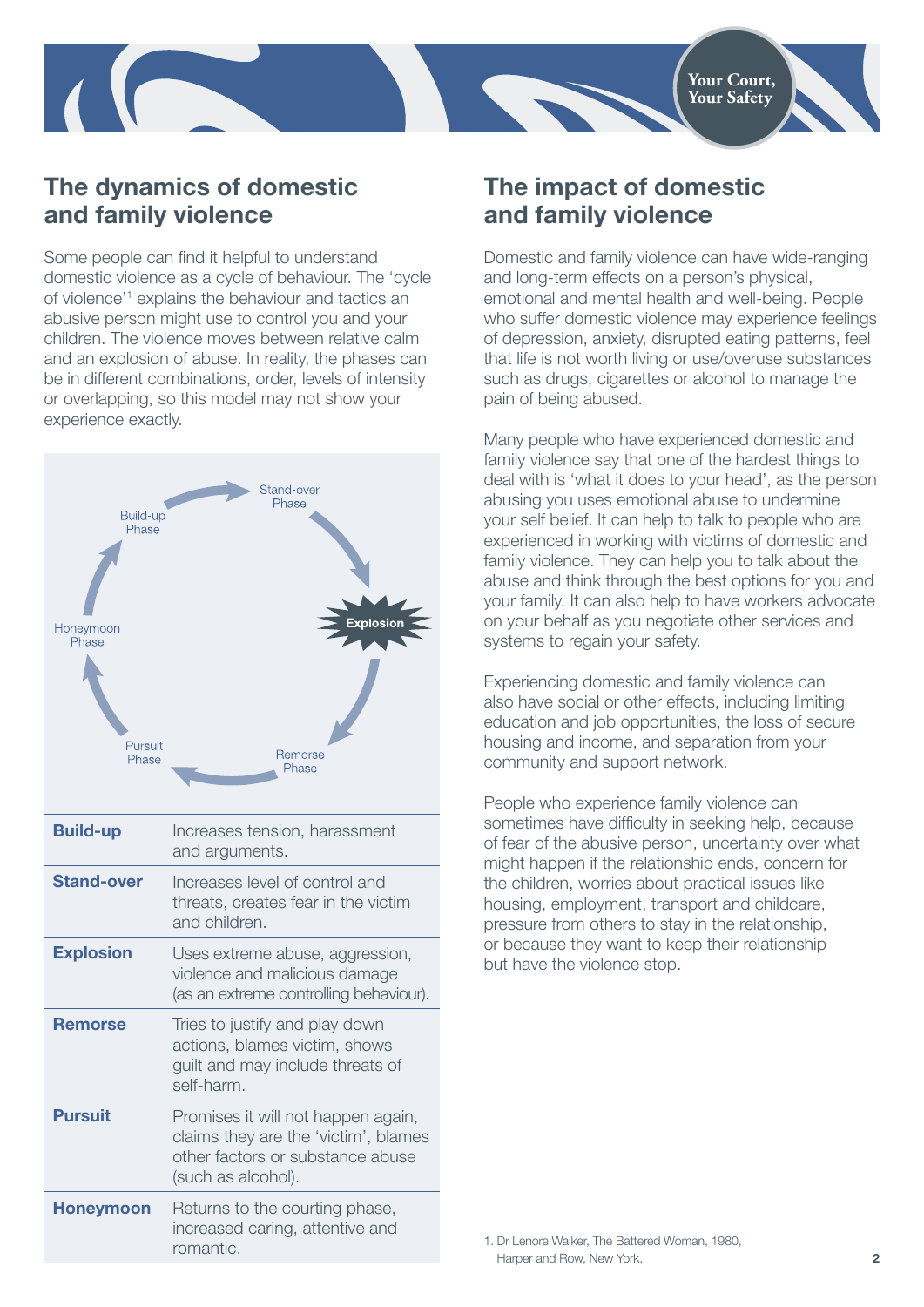

### **The dynamics of domestic and family violence**

Some people can find it helpful to understand domestic violence as a cycle of behaviour. The 'cycle of violence'1 explains the behaviour and tactics an abusive person might use to control you and your children. The violence moves between relative calm and an explosion of abuse. In reality, the phases can be in different combinations, order, levels of intensity or overlapping, so this model may not show your experience exactly.



#### **The impact of domestic and family violence**

Domestic and family violence can have wide-ranging and long-term effects on a person's physical, emotional and mental health and well-being. People who suffer domestic violence may experience feelings of depression, anxiety, disrupted eating patterns, feel that life is not worth living or use/overuse substances such as drugs, cigarettes or alcohol to manage the pain of being abused.

Many people who have experienced domestic and family violence say that one of the hardest things to deal with is 'what it does to your head', as the person abusing you uses emotional abuse to undermine your self belief. It can help to talk to people who are experienced in working with victims of domestic and family violence. They can help you to talk about the abuse and think through the best options for you and your family. It can also help to have workers advocate on your behalf as you negotiate other services and systems to regain your safety.

Experiencing domestic and family violence can also have social or other effects, including limiting education and job opportunities, the loss of secure housing and income, and separation from your community and support network.

People who experience family violence can sometimes have difficulty in seeking help, because of fear of the abusive person, uncertainty over what might happen if the relationship ends, concern for the children, worries about practical issues like housing, employment, transport and childcare, pressure from others to stay in the relationship, or because they want to keep their relationship but have the violence stop.

1. Dr Lenore Walker, The Battered Woman, 1980, Harper and Row, New York.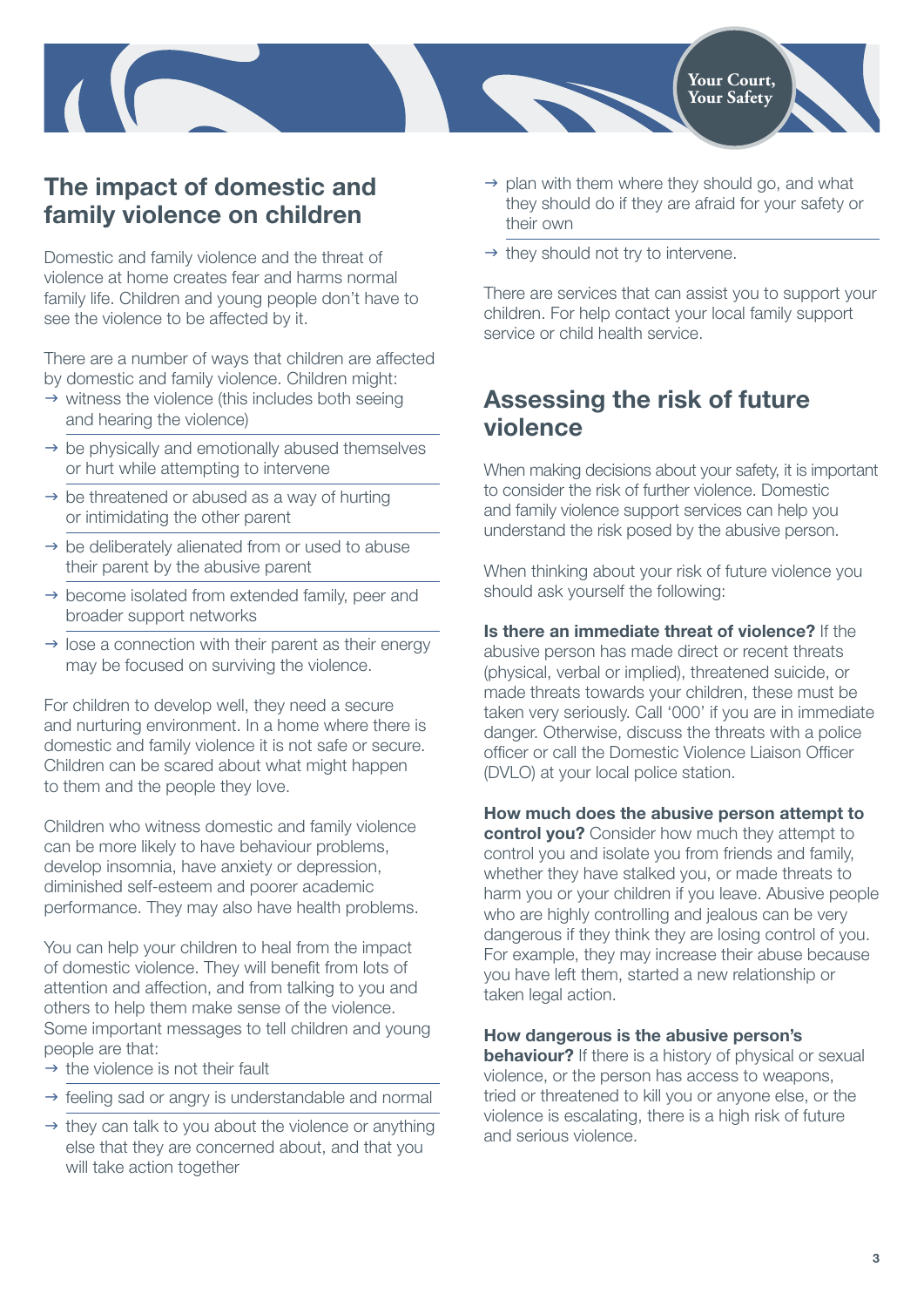

#### **The impact of domestic and family violence on children**

Domestic and family violence and the threat of violence at home creates fear and harms normal family life. Children and young people don't have to see the violence to be affected by it.

There are a number of ways that children are affected by domestic and family violence. Children might:

- $\rightarrow$  witness the violence (this includes both seeing and hearing the violence)
- $\rightarrow$  be physically and emotionally abused themselves or hurt while attempting to intervene
- $\rightarrow$  be threatened or abused as a way of hurting or intimidating the other parent
- $\rightarrow$  be deliberately alienated from or used to abuse their parent by the abusive parent
- $\rightarrow$  become isolated from extended family, peer and broader support networks
- $\rightarrow$  lose a connection with their parent as their energy may be focused on surviving the violence.

For children to develop well, they need a secure and nurturing environment. In a home where there is domestic and family violence it is not safe or secure. Children can be scared about what might happen to them and the people they love.

Children who witness domestic and family violence can be more likely to have behaviour problems, develop insomnia, have anxiety or depression, diminished self-esteem and poorer academic performance. They may also have health problems.

You can help your children to heal from the impact of domestic violence. They will benefit from lots of attention and affection, and from talking to you and others to help them make sense of the violence. Some important messages to tell children and young people are that:

- $\rightarrow$  the violence is not their fault
- $\rightarrow$  feeling sad or angry is understandable and normal
- $\rightarrow$  they can talk to you about the violence or anything else that they are concerned about, and that you will take action together
- $\rightarrow$  plan with them where they should go, and what they should do if they are afraid for your safety or their own
- $\rightarrow$  they should not try to intervene.

There are services that can assist you to support your children. For help contact your local family support service or child health service.

#### **Assessing the risk of future violence**

When making decisions about your safety, it is important to consider the risk of further violence. Domestic and family violence support services can help you understand the risk posed by the abusive person.

When thinking about your risk of future violence you should ask yourself the following:

## **Is there an immediate threat of violence?** If the

abusive person has made direct or recent threats (physical, verbal or implied), threatened suicide, or made threats towards your children, these must be taken very seriously. Call '000' if you are in immediate danger. Otherwise, discuss the threats with a police officer or call the Domestic Violence Liaison Officer (DVLO) at your local police station.

#### **How much does the abusive person attempt to**

**control you?** Consider how much they attempt to control you and isolate you from friends and family, whether they have stalked you, or made threats to harm you or your children if you leave. Abusive people who are highly controlling and jealous can be very dangerous if they think they are losing control of you. For example, they may increase their abuse because you have left them, started a new relationship or taken legal action.

#### **How dangerous is the abusive person's**

**behaviour?** If there is a history of physical or sexual violence, or the person has access to weapons, tried or threatened to kill you or anyone else, or the violence is escalating, there is a high risk of future and serious violence.